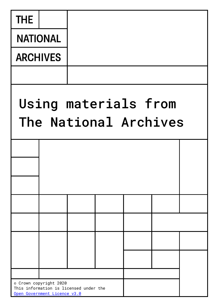| <b>THE</b>                                    |                                                                        |  |  |  |  |  |  |
|-----------------------------------------------|------------------------------------------------------------------------|--|--|--|--|--|--|
| <b>NATIONAL</b>                               |                                                                        |  |  |  |  |  |  |
| <b>ARCHIVES</b>                               |                                                                        |  |  |  |  |  |  |
|                                               |                                                                        |  |  |  |  |  |  |
| Using materials from<br>The National Archives |                                                                        |  |  |  |  |  |  |
|                                               |                                                                        |  |  |  |  |  |  |
|                                               |                                                                        |  |  |  |  |  |  |
|                                               |                                                                        |  |  |  |  |  |  |
|                                               |                                                                        |  |  |  |  |  |  |
|                                               |                                                                        |  |  |  |  |  |  |
|                                               |                                                                        |  |  |  |  |  |  |
|                                               |                                                                        |  |  |  |  |  |  |
|                                               | © Crown copyright 2020                                                 |  |  |  |  |  |  |
|                                               | This information is licensed under the<br>Open Government Licence v3.0 |  |  |  |  |  |  |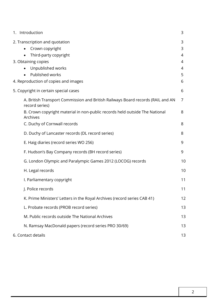<span id="page-1-0"></span>

| 1. Introduction                                                                                   | 3              |
|---------------------------------------------------------------------------------------------------|----------------|
| 2. Transcription and quotation<br>Crown copyright<br>Third-party copyright                        | 3<br>3<br>4    |
| 3. Obtaining copies                                                                               | 4              |
| Unpublished works                                                                                 | 4              |
| Published works                                                                                   | 5              |
| 4. Reproduction of copies and images                                                              | 6              |
| 5. Copyright in certain special cases                                                             | 6              |
| A. British Transport Commission and British Railways Board records (RAIL and AN<br>record series) | $\overline{7}$ |
| B. Crown copyright material in non-public records held outside The National<br>Archives           | 8              |
| C. Duchy of Cornwall records                                                                      | 8              |
| D. Duchy of Lancaster records (DL record series)                                                  | 8              |
| E. Haig diaries (record series WO 256)                                                            | 9              |
| F. Hudson's Bay Company records (BH record series)                                                | 9              |
| G. London Olympic and Paralympic Games 2012 (LOCOG) records                                       | 10             |
| H. Legal records                                                                                  | 10             |
| I. Parliamentary copyright                                                                        | 11             |
| J. Police records                                                                                 | 11             |
| K. Prime Ministers' Letters in the Royal Archives (record series CAB 41)                          | 12             |
| L. Probate records (PROB record series)                                                           | 13             |
| M. Public records outside The National Archives                                                   | 13             |
| N. Ramsay MacDonald papers (record series PRO 30/69)                                              | 13             |
| 6. Contact details                                                                                | 13             |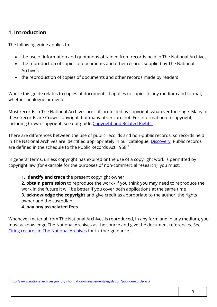# <span id="page-2-0"></span>**1. Introduction**

The following guide applies to:

- the use of information and quotations obtained from records held in The National Archives
- the reproduction of copies of documents and other records supplied by The National Archives
- the reproduction of copies of documents and other records made by readers

Where this guide relates to copies of documents it applies to copies in any medium and format, whether analogue or digital.

Most records in The National Archives are still protected by copyright, whatever their age. Many of these records are Crown copyright, but many others are not. For information on copyright, including Crown copyright, see our guide [Copyright and Related Rights.](http://www.nationalarchives.gov.uk/documents/information-management/copyright-related-rights.pdf)

There are differences between the use of public records and non-public records, so records held in The National Archives are identified appropriately in our catalogue, [Discovery.](http://discovery.nationalarchives.gov.uk/) Public records are defined in the schedule to the Public Records Act 1958 <sup>1</sup>

In general terms, unless copyright has expired or the use of a copyright work is permitted by copyright law (for example for the purposes of non-commercial research), you must:

**1. identify and trace** the present copyright owner

**2. obtain permission** to reproduce the work - if you think you may need to reproduce the work in the future it will be better if you cover both applications at the same time **3. acknowledge the copyright** and give credit as appropriate to the author, the rights owner and the custodian

# **4. pay any associated fees**

 $\overline{a}$ 

Whenever material from The National Archives is reproduced, in any form and in any medium, you must acknowledge The National Archives as the source and give the document references. See [Citing records in The National Archives](https://www.nationalarchives.gov.uk/help-with-your-research/citing-records-national-archives/) for further guidance.

<sup>1</sup> <http://www.nationalarchives.gov.uk/information-management/legislation/public-records-act/>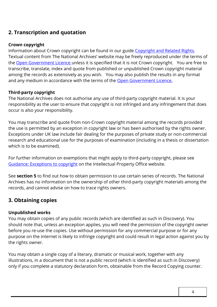# <span id="page-3-0"></span>**2. Transcription and quotation**

#### <span id="page-3-1"></span>**Crown copyright**

Information about Crown copyright can be found in our guide [Copyright and Related Rights.](http://www.nationalarchives.gov.uk/documents/information-management/copyright-related-rights.pdf) Textual content from The National Archives' website may be freely reproduced under the terms of the [Open Government Licence](http://www.nationalarchives.gov.uk/doc/open-government-licence/version/3/) unless it is specified that it is not Crown copyright. You are free to transcribe, translate, index and quote from published or unpublished Crown copyright material among the records as extensively as you wish. You may also publish the results in any format and any medium in accordance with the terms of the [Open Government Licence.](http://www.nationalarchives.gov.uk/doc/open-government-licence/version/3/)

# <span id="page-3-2"></span>**Third-party copyright**

The National Archives does not authorise any use of third-party copyright material. It is your responsibility as the user to ensure that copyright is not infringed and any infringement that does occur is also your responsibility.

You may transcribe and quote from non-Crown copyright material among the records provided the use is permitted by an exception in copyright law or has been authorised by the rights owner. Exceptions under UK law include fair dealing for the purposes of private study or non-commercial research and educational use for the purposes of examination (including in a thesis or dissertation which is to be examined).

For further information on exemptions that might apply to third-party copyright, please see [Guidance: Exceptions to copyright](https://www.gov.uk/guidance/exceptions-to-copyright) on the Intellectual Property Office website.

See **section 5** to find out how to obtain permission to use certain series of records. The National Archives has no information on the ownership of other third-party copyright materials among the records, and cannot advise on how to trace rights owners.

# **3. Obtaining copies**

# <span id="page-3-3"></span>**Unpublished works**

You may obtain copies of any public records (which are identified as such in Discovery). You should note that, unless an exception applies, you will need the permission of the copyright owner before you re-use the copies. Use without permission for any commercial purpose or for any purpose on the internet is likely to infringe copyright and could result in legal action against you by the rights owner.

You may obtain a single copy of a literary, dramatic or musical work, together with any illustrations, in a document that is not a public record (which is identified as such in Discovery) only if you complete a statutory declaration form, obtainable from the Record Copying counter.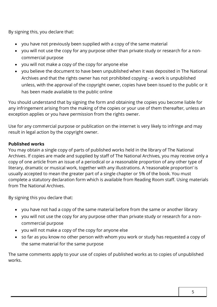By signing this, you declare that:

- you have not previously been supplied with a copy of the same material
- you will not use the copy for any purpose other than private study or research for a noncommercial purpose
- you will not make a copy of the copy for anyone else
- you believe the document to have been unpublished when it was deposited in The National Archives and that the rights owner has not prohibited copying - a work is unpublished unless, with the approval of the copyright owner, copies have been issued to the public or it has been made available to the public online

You should understand that by signing the form and obtaining the copies you become liable for any infringement arising from the making of the copies or your use of them thereafter, unless an exception applies or you have permission from the rights owner.

Use for any commercial purpose or publication on the internet is very likely to infringe and may result in legal action by the copyright owner.

# <span id="page-4-0"></span>**Published works**

You may obtain a single copy of parts of published works held in the library of The National Archives. If copies are made and supplied by staff of The National Archives, you may receive only a copy of one article from an issue of a periodical or a reasonable proportion of any other type of literary, dramatic or musical work, together with any illustrations. A 'reasonable proportion' is usually accepted to mean the greater part of a single chapter or 5% of the book. You must complete a statutory declaration form which is available from Reading Room staff. Using materials from The National Archives.

By signing this you declare that:

- you have not had a copy of the same material before from the same or another library
- you will not use the copy for any purpose other than private study or research for a noncommercial purpose
- you will not make a copy of the copy for anyone else
- so far as you know no other person with whom you work or study has requested a copy of the same material for the same purpose

The same comments apply to your use of copies of published works as to copies of unpublished works.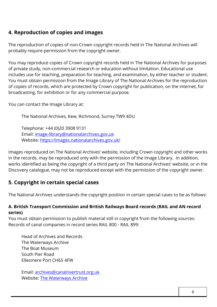# <span id="page-5-0"></span>**4. Reproduction of copies and images**

The reproduction of copies of non-Crown copyright records held in The National Archives will probably require permission from the copyright owner.

You may reproduce copies of Crown copyright records held in The National Archives for purposes of private study, non-commercial research or education without limitation. Educational use includes use for teaching, preparation for teaching, and examination, by either teacher or student. You must obtain permission from the Image Library of The National Archives for the reproduction of copies of records, which are protected by Crown copyright for publication, on the internet, for broadcasting, for exhibition or for any commercial purpose.

You can contact the Image Library at:

The National Archives, Kew, Richmond, Surrey TW9 4DU

Telephone: +44 (0)20 3908 9131 Email: [image-library@nationalarchives.gov.uk](mailto:image-library@nationalarchives.gov.uk) Website:<https://images.nationalarchives.gov.uk/>

Images reproduced on The National Archives' website, including Crown copyright and other works in the records, may be reproduced only with the permission of the Image Library. In addition, works identified as being the copyright of a third party on The National Archives' website, or in the Discovery catalogue, may not be reproduced except with the permission of the copyright owner.

# <span id="page-5-1"></span>**5. Copyright in certain special cases**

The National Archives understands the copyright position in certain special cases to be as follows:

#### <span id="page-5-2"></span>**A. British Transport Commission and British Railways Board records (RAIL and AN record series)**

You must obtain permission to publish material still in copyright from the following sources: Records of canal companies in record series RAIL 800 - RAIL 899:

Head of Archives and Records The Waterways Archive The Boat Museum South Pier Road Ellesmere Port CH65 4FW

Email: [archives@canalrivertrust.org.uk](mailto:archives@canalrivertrust.org.uk) Website: [The Waterways Archive](https://canalrivertrust.org.uk/places-to-visit/national-waterways-museum/the-waterways-archive)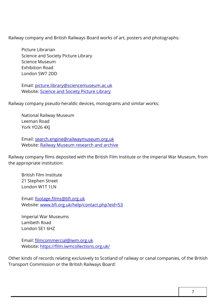Railway company and British Railways Board works of art, posters and photographs:

Picture Librarian Science and Society Picture Library Science Museum Exhibition Road London SW7 2DD

Email: [picture.library@sciencemuseum.ac.uk](mailto:picture.library@sciencemuseum.ac.uk) Website: [Science and Society Picture Library](https://www.scienceandsociety.co.uk/)

Railway company pseudo-heraldic devices, monograms and similar works:

National Railway Museum Leeman Road York YO26 4XJ

Email: [search.engine@railwaymuseum.org.uk](mailto:search.engine@railwaymuseum.org.uk) Website: [Railway Museum research and archive](https://www.railwaymuseum.org.uk/research-and-archive)

Railway company films deposited with the British Film Institute or the Imperial War Museum, from the appropriate institution:

British Film Institute 21 Stephen Street London W1T 1LN

Email: [footage.films@bfi.org.uk](mailto:footage.films@bfi.org.uk) Website: [www.bfi.org.uk/help/contact.php?eid=53](http://www.bfi.org.uk/help/contact.php?eid=53) 

Imperial War Museums Lambeth Road London SE1 6HZ

Email: [filmcommercial@iwm.org.uk](mailto:filmcommercial@iwm.org.uk)  Website:<https://film.iwmcollections.org.uk/>

Other kinds of records relating exclusively to Scotland of railway or canal companies, of the British Transport Commission or the British Railways Board: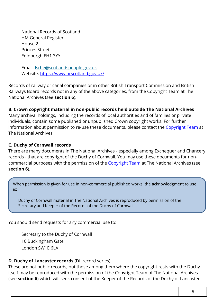National Records of Scotland HM General Register House 2 Princes Street Edinburgh EH1 3YY

Email: [lsrhe@scotlandspeople.gov.uk](mailto:lsrhe@scotlandspeople.gov.uk?Subject=NRS%20website%20-%20Historical%20and%20Legal%20Documents%20Enquiry) Website:<https://www.nrscotland.gov.uk/>

Records of railway or canal companies or in other British Transport Commission and British Railways Board records not in any of the above categories, from the Copyright Team at The National Archives (see **section 6**).

### <span id="page-7-0"></span>**B. Crown copyright material in non-public records held outside The National Archives**

Many archival holdings, including the records of local authorities and of families or private individuals, contain some published or unpublished Crown copyright works. For further information about permission to re-use these documents, please contact the [Copyright Team](mailto:psi@nationalarchives.gov.uk) at The National Archives

### <span id="page-7-1"></span>**C. Duchy of Cornwall records**

There are many documents in The National Archives - especially among Exchequer and Chancery records - that are copyright of the Duchy of Cornwall. You may use these documents for non-commercial purposes with the permission of the [Copyright Team](mailto:psi@nationalarchives.gov.uk) at The National Archives (see **section 6**).

When permission is given for use in non-commercial published works, the acknowledgment to use is:

Duchy of Cornwall material in The National Archives is reproduced by permission of the Secretary and Keeper of the Records of the Duchy of Cornwall.

You should send requests for any commercial use to:

Secretary to the Duchy of Cornwall 10 Buckingham Gate London SW1E 6LA

#### <span id="page-7-2"></span>**D. Duchy of Lancaster records** (DL record series)

These are not public records, but those among them where the copyright rests with the Duchy itself may be reproduced with the permission of the Copyright Team of The National Archives (see **section 6**) which will seek consent of the Keeper of the Records of the Duchy of Lancaster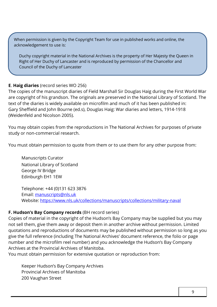When permission is given by the Copyright Team for use in published works and online, the acknowledgement to use is:

Duchy copyright material in the National Archives is the property of Her Majesty the Queen in Right of Her Duchy of Lancaster and is reproduced by permission of the Chancellor and Council of the Duchy of Lancaster

### <span id="page-8-0"></span>**E**. **Haig diaries** (record series WO 256)

The copies of the manuscript diaries of Field Marshall Sir Douglas Haig during the First World War are copyright of his grandson. The originals are preserved in the National Library of Scotland. The text of the diaries is widely available on microfilm and much of it has been published in: Gary Sheffield and John Bourne (ed.s), Douglas Haig: War diaries and letters, 1914-1918 (Weidenfeld and Nicolson 2005).

You may obtain copies from the reproductions in The National Archives for purposes of private study or non-commercial research.

You must obtain permission to quote from them or to use them for any other purpose from:

Manuscripts Curator National Library of Scotland George IV Bridge Edinburgh EH1 1EW

Telephone: +44 (0)131 623 3876 Email: [manuscripts@nls.uk](mailto:manuscripts@nls.uk)  Website:<https://www.nls.uk/collections/manuscripts/collections/military-naval>

#### <span id="page-8-1"></span>**F. Hudson's Bay Company records** (BH record series)

Copies of material in the copyright of the Hudson's Bay Company may be supplied but you may not sell them, give them away or deposit them in another archive without permission. Limited quotations and reproductions of documents may be published without permission so long as you give the full reference (including The National Archives' document reference, the folio or page number and the microfilm reel number) and you acknowledge the Hudson's Bay Company Archives at the Provincial Archives of Manitoba.

You must obtain permission for extensive quotation or reproduction from:

Keeper Hudson's Bay Company Archives Provincial Archives of Manitoba 200 Vaughan Street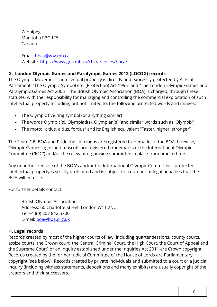Winnipeg Manitoba R3C 1T5 Canada

Email: [hbca@gov.mb.ca](mailto:hbca@gov.mb.ca) Website:<https://www.gov.mb.ca/chc/archives/hbca/>

### <span id="page-9-0"></span>**G. London Olympic Games and Paralympic Games 2012 (LOCOG) records**

The Olympic Movement's intellectual property is directly and expressly protected by Acts of Parliament: "The Olympic Symbol etc. (Protection) Act 1995" and "The London Olympic Games and Paralympic Games Act 2006". The British Olympic Association (BOA) is charged, through these statutes, with the responsibility for managing and controlling the commercial exploitation of such intellectual property including, but not limited to, the following protected words and images:

- The Olympic five ring symbol (or anything similar)
- The words Olympic(s), Olympiad(s), Olympian(s) (and similar words such as ʻOlympix')
- The motto "citius, altius, fortius" and its English equivalent "Faster, higher, stronger"

The Team GB, BOA and Pride the Lion logos are registered trademarks of the BOA. Likewise, Olympic Games logos and mascots are registered trademarks of the International Olympic Committee ("IOC") and/or the relevant organising committee in place from time to time.

Any unauthorized use of the BOA's and/or the International Olympic Committee's protected intellectual property is strictly prohibited and is subject to a number of legal penalties that the BOA will enforce.

For further details contact:

British Olympic Association Address: 60 Charlotte Street, London W1T 2NU Tel:+44(0) 207 842 5700 E-mail: **[boa@boa.org.uk](mailto:boa@boa.org.uk)** 

#### <span id="page-9-1"></span>**H. Legal records**

Records created by most of the higher courts of law (including quarter sessions, county courts, assize courts, the Crown court, the Central Criminal Court, the High Court, the Court of Appeal and the Supreme Court) or an Inquiry established under the Inquiries Act 2011 are Crown copyright. Records created by the former Judicial Committee of the House of Lords are Parliamentary copyright (see below). Records created by private individuals and submitted to a court or a judicial inquiry (including witness statements, depositions and many exhibits) are usually copyright of the creators and their successors.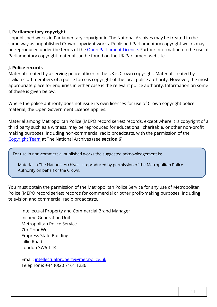#### <span id="page-10-0"></span>**I. Parliamentary copyright**

Unpublished works in Parliamentary copyright in The National Archives may be treated in the same way as unpublished Crown copyright works. Published Parliamentary copyright works may be reproduced under the terms of the [Open Parliament Licence.](https://www.parliament.uk/site-information/copyright/open-parliament-licence/) Further information on the use of Parliamentary copyright material can be found on the UK Parliament website.

#### <span id="page-10-1"></span>**J. Police records**

Material created by a serving police officer in the UK is Crown copyright. Material created by civilian staff members of a police force is copyright of the local police authority. However, the most appropriate place for enquiries in either case is the relevant police authority. Information on some of these is given below.

Where the police authority does not issue its own licences for use of Crown copyright police material, the Open Government Licence applies.

Material among Metropolitan Police (MEPO record series) records, except where it is copyright of a third party such as a witness, may be reproduced for educational, charitable, or other non-profit making purposes, including non-commercial radio broadcasts, with the permission of the [Copyright Team](mailto:psi@nationalarchives.gov.uk) at The National Archives (see **section 6**).

For use in non-commercial published works the suggested acknowledgement is:

Material in The National Archives is reproduced by permission of the Metropolitan Police Authority on behalf of the Crown.

You must obtain the permission of the Metropolitan Police Service for any use of Metropolitan Police (MEPO record series) records for commercial or other profit-making purposes, including television and commercial radio broadcasts.

Intellectual Property and Commercial Brand Manager Income Generation Unit Metropolitan Police Service 7th Floor West Empress State Building Lillie Road London SW6 1TR

Email: [intellectualproperty@met.police.uk](mailto:intellectualproperty@met.police.uk) Telephone: +44 (0)20 7161 1236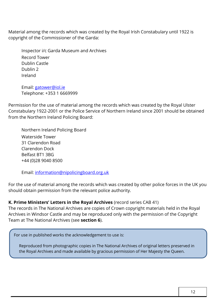Material among the records which was created by the Royal Irish Constabulary until 1922 is copyright of the Commissioner of the Garda:

Inspector i/c Garda Museum and Archives Record Tower Dublin Castle Dublin 2 Ireland

Email: [gatower@iol.ie](mailto:gatower@iol.ie)  Telephone: +353 1 6669999

Permission for the use of material among the records which was created by the Royal Ulster Constabulary 1922-2001 or the Police Service of Northern Ireland since 2001 should be obtained from the Northern Ireland Policing Board:

Northern Ireland Policing Board Waterside Tower 31 Clarendon Road Clarendon Dock Belfast BT1 3BG +44 (0)28 9040 8500

Email: [information@nipolicingboard.org.uk](mailto:information@nipolicingboard.org.uk) 

For the use of material among the records which was created by other police forces in the UK you should obtain permission from the relevant police authority.

#### <span id="page-11-0"></span>**K. Prime Ministers' Letters in the Royal Archives** (record series CAB 41)

The records in The National Archives are copies of Crown copyright materials held in the Royal Archives in Windsor Castle and may be reproduced only with the permission of the Copyright Team at The National Archives (see **section 6**).

For use in published works the acknowledgement to use is:

Reproduced from photographic copies in The National Archives of original letters preserved in the Royal Archives and made available by gracious permission of Her Majesty the Queen.